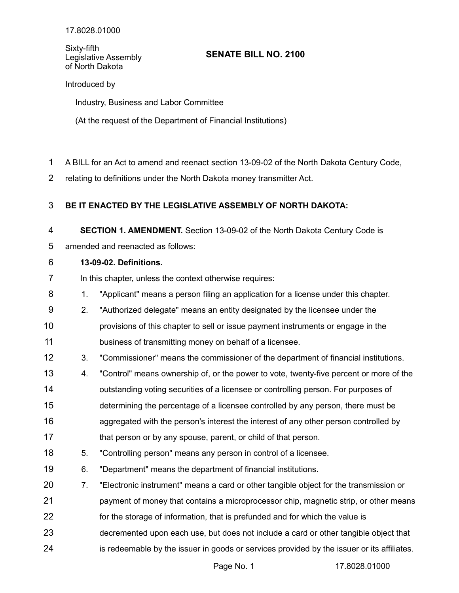Sixty-fifth Legislative Assembly of North Dakota

## **SENATE BILL NO. 2100**

Introduced by

Industry, Business and Labor Committee

(At the request of the Department of Financial Institutions)

- A BILL for an Act to amend and reenact section 13-09-02 of the North Dakota Century Code, 1
- relating to definitions under the North Dakota money transmitter Act. 2

## **BE IT ENACTED BY THE LEGISLATIVE ASSEMBLY OF NORTH DAKOTA:** 3

**SECTION 1. AMENDMENT.** Section 13-09-02 of the North Dakota Century Code is 4

amended and reenacted as follows: 5

## **13-09-02. Definitions.** 6

In this chapter, unless the context otherwise requires: 7

- 1. "Applicant" means a person filing an application for a license under this chapter. 8
- 2. "Authorized delegate" means an entity designated by the licensee under the 9
- provisions of this chapter to sell or issue payment instruments or engage in the business of transmitting money on behalf of a licensee. 10 11
- 3. "Commissioner" means the commissioner of the department of financial institutions. 12
- 4. "Control" means ownership of, or the power to vote, twenty-five percent or more of the outstanding voting securities of a licensee or controlling person. For purposes of determining the percentage of a licensee controlled by any person, there must be aggregated with the person's interest the interest of any other person controlled by that person or by any spouse, parent, or child of that person. 13 14 15 16 17
- 5. "Controlling person" means any person in control of a licensee. 18
- 6. "Department" means the department of financial institutions. 19
- 7. "Electronic instrument" means a card or other tangible object for the transmission or payment of money that contains a microprocessor chip, magnetic strip, or other means 20 21
- for the storage of information, that is prefunded and for which the value is 22
- decremented upon each use, but does not include a card or other tangible object that 23
- is redeemable by the issuer in goods or services provided by the issuer or its affiliates. 24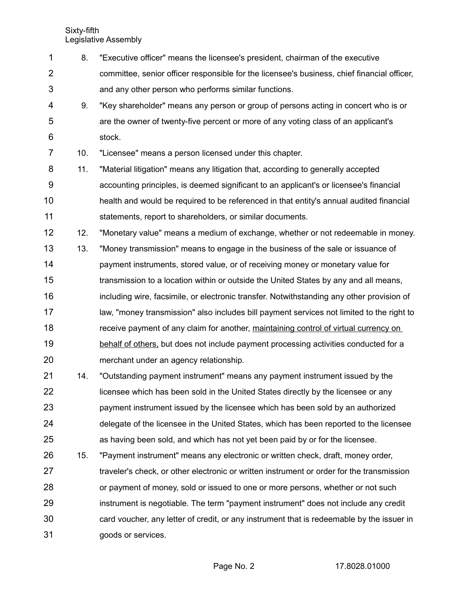Sixty-fifth Legislative Assembly

- 8. "Executive officer" means the licensee's president, chairman of the executive 1
- committee, senior officer responsible for the licensee's business, chief financial officer, and any other person who performs similar functions. 2 3
- 9. "Key shareholder" means any person or group of persons acting in concert who is or are the owner of twenty-five percent or more of any voting class of an applicant's stock. 4 5 6

10. "Licensee" means a person licensed under this chapter. 7

- 11. "Material litigation" means any litigation that, according to generally accepted accounting principles, is deemed significant to an applicant's or licensee's financial health and would be required to be referenced in that entity's annual audited financial statements, report to shareholders, or similar documents. 8 9 10 11
- 12. "Monetary value" means a medium of exchange, whether or not redeemable in money. 12
- 13. "Money transmission" means to engage in the business of the sale or issuance of payment instruments, stored value, or of receiving money or monetary value for transmission to a location within or outside the United States by any and all means, including wire, facsimile, or electronic transfer. Notwithstanding any other provision of law, "money transmission" also includes bill payment services not limited to the right to receive payment of any claim for another, maintaining control of virtual currency on behalf of others, but does not include payment processing activities conducted for a merchant under an agency relationship. 13 14 15 16 17 18 19 20
- 14. "Outstanding payment instrument" means any payment instrument issued by the licensee which has been sold in the United States directly by the licensee or any payment instrument issued by the licensee which has been sold by an authorized delegate of the licensee in the United States, which has been reported to the licensee as having been sold, and which has not yet been paid by or for the licensee. 21 22 23 24 25
- 15. "Payment instrument" means any electronic or written check, draft, money order, traveler's check, or other electronic or written instrument or order for the transmission or payment of money, sold or issued to one or more persons, whether or not such instrument is negotiable. The term "payment instrument" does not include any credit card voucher, any letter of credit, or any instrument that is redeemable by the issuer in goods or services. 26 27 28 29 30 31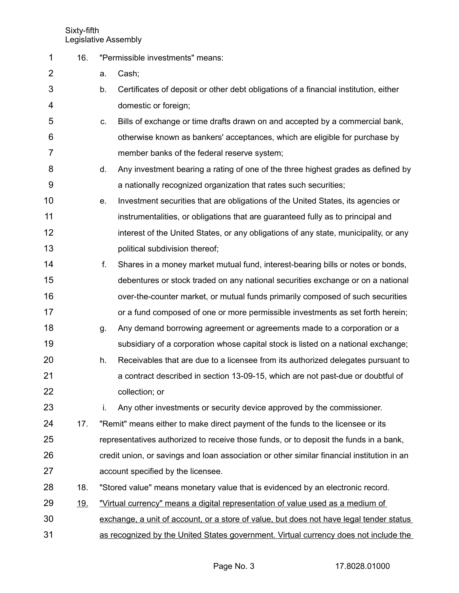Sixty-fifth Legislative Assembly

16. "Permissible investments" means: a. Cash; b. Certificates of deposit or other debt obligations of a financial institution, either domestic or foreign; c. Bills of exchange or time drafts drawn on and accepted by a commercial bank, otherwise known as bankers' acceptances, which are eligible for purchase by member banks of the federal reserve system; d. Any investment bearing a rating of one of the three highest grades as defined by a nationally recognized organization that rates such securities; e. Investment securities that are obligations of the United States, its agencies or instrumentalities, or obligations that are guaranteed fully as to principal and interest of the United States, or any obligations of any state, municipality, or any political subdivision thereof; f. Shares in a money market mutual fund, interest-bearing bills or notes or bonds, debentures or stock traded on any national securities exchange or on a national over-the-counter market, or mutual funds primarily composed of such securities or a fund composed of one or more permissible investments as set forth herein; g. Any demand borrowing agreement or agreements made to a corporation or a subsidiary of a corporation whose capital stock is listed on a national exchange; h. Receivables that are due to a licensee from its authorized delegates pursuant to a contract described in section 13-09-15, which are not past-due or doubtful of collection; or i. Any other investments or security device approved by the commissioner. 17. "Remit" means either to make direct payment of the funds to the licensee or its representatives authorized to receive those funds, or to deposit the funds in a bank, credit union, or savings and loan association or other similar financial institution in an account specified by the licensee. 18. "Stored value" means monetary value that is evidenced by an electronic record. 19. "Virtual currency" means a digital representation of value used as a medium of exchange, a unit of account, or a store of value, but does not have legal tender status as recognized by the United States government. Virtual currency does not include the 1 2 3 4 5 6 7 8 9 10 11 12 13 14 15 16 17 18 19 20 21 22 23 24 25 26 27 28 29 30 31